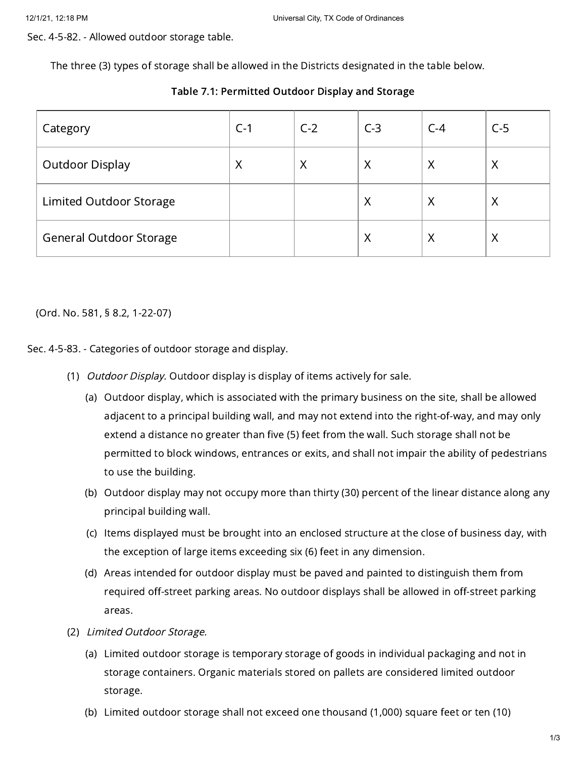Sec. 4-5-82. - Allowed outdoor storage table.

The three (3) types of storage shall be allowed in the Districts designated in the table below.

| Category                       | $C-1$ | $C-2$ | $C-3$    | $C-4$ | $C-5$ |
|--------------------------------|-------|-------|----------|-------|-------|
| <b>Outdoor Display</b>         | Χ     | Χ     | Χ        | Χ     | Χ     |
| <b>Limited Outdoor Storage</b> |       |       | Χ        | Χ     | Χ     |
| <b>General Outdoor Storage</b> |       |       | $\times$ | Χ     | Χ     |

## Table 7.1: Permitted Outdoor Display and Storage

(Ord. No. 581, § 8.2, 1-22-07)

Sec. 4-5-83. - Categories of outdoor storage and display.

- (1) *Outdoor Display.* Outdoor display is display of items actively for sale.
	- (a) Outdoor display, which is associated with the primary business on the site, shall be allowed adjacent to a principal building wall, and may not extend into the right-of-way, and may only extend a distance no greater than five (5) feet from the wall. Such storage shall not be permitted to block windows, entrances or exits, and shall not impair the ability of pedestrians to use the building.
	- (b) Outdoor display may not occupy more than thirty (30) percent of the linear distance along any principal building wall.
	- (c) Items displayed must be brought into an enclosed structure at the close of business day, with the exception of large items exceeding six (6) feet in any dimension.
	- (d) Areas intended for outdoor display must be paved and painted to distinguish them from required off-street parking areas. No outdoor displays shall be allowed in off-street parking areas.
- (2) Limited Outdoor Storage.
	- (a) Limited outdoor storage is temporary storage of goods in individual packaging and not in storage containers. Organic materials stored on pallets are considered limited outdoor storage.
	- (b) Limited outdoor storage shall not exceed one thousand (1,000) square feet or ten (10)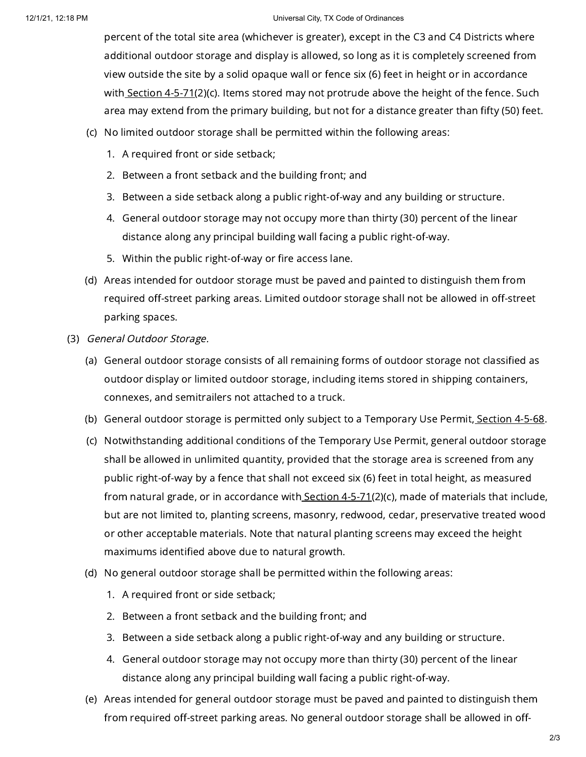## 12/1/21, 12:18 PM Universal City, TX Code of Ordinances

percent of the total site area (whichever is greater), except in the C3 and C4 Districts where additional outdoor storage and display is allowed, so long as it is completely screened from view outside the site by a solid opaque wall or fence six (6) feet in height or in accordance with [Section](https://library.municode.com/) 4-5-71(2)(c). Items stored may not protrude above the height of the fence. Such area may extend from the primary building, but not for a distance greater than fifty (50) feet.

- (c) No limited outdoor storage shall be permitted within the following areas:
	- 1. A required front or side setback;
	- 2. Between a front setback and the building front; and
	- 3. Between a side setback along a public right-of-way and any building or structure.
	- 4. General outdoor storage may not occupy more than thirty (30) percent of the linear distance along any principal building wall facing a public right-of-way.
	- 5. Within the public right-of-way or fire access lane.
- (d) Areas intended for outdoor storage must be paved and painted to distinguish them from required off-street parking areas. Limited outdoor storage shall not be allowed in off-street parking spaces.
- (3) General Outdoor Storage.
	- (a) General outdoor storage consists of all remaining forms of outdoor storage not classified as outdoor display or limited outdoor storage, including items stored in shipping containers, connexes, and semitrailers not attached to a truck.
	- (b) General outdoor storage is permitted only subject to a Temporary Use Permit<u>, [Section](https://library.municode.com/) 4-5-68</u>.
	- (c) Notwithstanding additional conditions of the Temporary Use Permit, general outdoor storage shall be allowed in unlimited quantity, provided that the storage area is screened from any public right-of-way by a fence that shall not exceed six (6) feet in total height, as measured from natural grade, or in accordance with [Section](https://library.municode.com/)  $4-5-71(2)(c)$ , made of materials that include, but are not limited to, planting screens, masonry, redwood, cedar, preservative treated wood or other acceptable materials. Note that natural planting screens may exceed the height maximums identified above due to natural growth.
	- (d) No general outdoor storage shall be permitted within the following areas:
		- 1. A required front or side setback;
		- 2. Between a front setback and the building front; and
		- 3. Between a side setback along a public right-of-way and any building or structure.
		- 4. General outdoor storage may not occupy more than thirty (30) percent of the linear distance along any principal building wall facing a public right-of-way.
	- (e) Areas intended for general outdoor storage must be paved and painted to distinguish them from required off-street parking areas. No general outdoor storage shall be allowed in off-